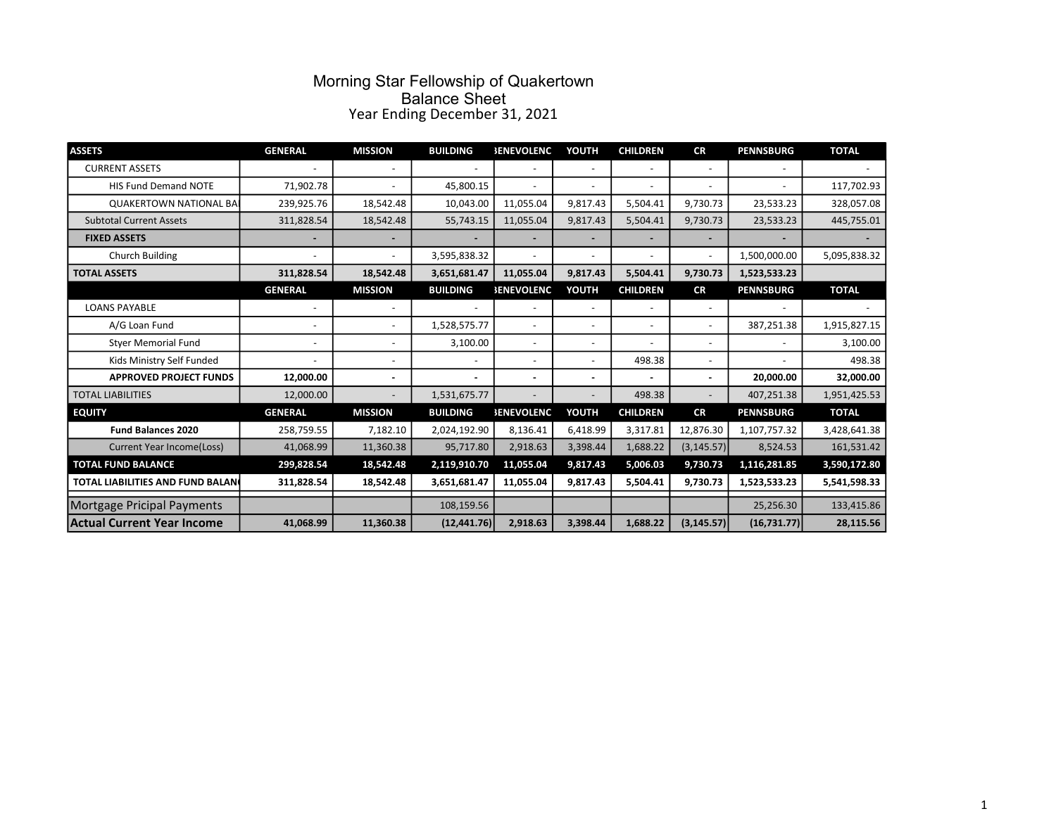#### Morning Star Fellowship of Quakertown Balance Sheet Year Ending December 31, 2021

| <b>ASSETS</b>                     | <b>GENERAL</b>           | <b>MISSION</b>           | <b>BUILDING</b> | <b>SENEVOLENC</b>        | YOUTH                    | <b>CHILDREN</b>          | <b>CR</b>   | <b>PENNSBURG</b> | <b>TOTAL</b> |
|-----------------------------------|--------------------------|--------------------------|-----------------|--------------------------|--------------------------|--------------------------|-------------|------------------|--------------|
| <b>CURRENT ASSETS</b>             |                          |                          |                 |                          | $\overline{\phantom{a}}$ |                          |             |                  |              |
| <b>HIS Fund Demand NOTE</b>       | 71,902.78                |                          | 45,800.15       |                          | $\overline{\phantom{a}}$ |                          |             |                  | 117,702.93   |
| <b>QUAKERTOWN NATIONAL BAI</b>    | 239,925.76               | 18,542.48                | 10,043.00       | 11,055.04                | 9,817.43                 | 5,504.41                 | 9,730.73    | 23,533.23        | 328,057.08   |
| <b>Subtotal Current Assets</b>    | 311,828.54               | 18,542.48                | 55,743.15       | 11,055.04                | 9,817.43                 | 5,504.41                 | 9,730.73    | 23,533.23        | 445,755.01   |
| <b>FIXED ASSETS</b>               |                          |                          |                 |                          | ۰                        |                          |             |                  |              |
| Church Building                   |                          |                          | 3,595,838.32    |                          | $\overline{\phantom{a}}$ |                          |             | 1,500,000.00     | 5,095,838.32 |
| <b>TOTAL ASSETS</b>               | 311,828.54               | 18,542.48                | 3,651,681.47    | 11,055.04                | 9,817.43                 | 5,504.41                 | 9,730.73    | 1,523,533.23     |              |
|                                   | <b>GENERAL</b>           | <b>MISSION</b>           | <b>BUILDING</b> | <b><i>SENEVOLENC</i></b> | YOUTH                    | <b>CHILDREN</b>          | <b>CR</b>   | <b>PENNSBURG</b> | <b>TOTAL</b> |
| <b>LOANS PAYABLE</b>              |                          |                          |                 |                          | $\overline{\phantom{a}}$ |                          |             |                  |              |
| A/G Loan Fund                     |                          | $\overline{\phantom{0}}$ | 1,528,575.77    |                          | $\overline{\phantom{a}}$ | $\overline{\phantom{a}}$ |             | 387,251.38       | 1,915,827.15 |
| <b>Styer Memorial Fund</b>        | $\overline{\phantom{a}}$ | $\overline{\phantom{0}}$ | 3,100.00        |                          | $\overline{\phantom{a}}$ |                          |             |                  | 3,100.00     |
| Kids Ministry Self Funded         |                          | ٠                        |                 |                          | $\overline{\phantom{a}}$ | 498.38                   |             |                  | 498.38       |
| <b>APPROVED PROJECT FUNDS</b>     | 12,000.00                | ÷                        | ÷.              |                          | ä,                       |                          |             | 20,000.00        | 32,000.00    |
| <b>TOTAL LIABILITIES</b>          | 12,000.00                |                          | 1,531,675.77    |                          |                          | 498.38                   |             | 407,251.38       | 1,951,425.53 |
| <b>EQUITY</b>                     | <b>GENERAL</b>           | <b>MISSION</b>           | <b>BUILDING</b> | <b>SENEVOLENC</b>        | YOUTH                    | <b>CHILDREN</b>          | <b>CR</b>   | <b>PENNSBURG</b> | <b>TOTAL</b> |
| <b>Fund Balances 2020</b>         | 258,759.55               | 7,182.10                 | 2,024,192.90    | 8,136.41                 | 6,418.99                 | 3,317.81                 | 12,876.30   | 1,107,757.32     | 3,428,641.38 |
| <b>Current Year Income(Loss)</b>  | 41,068.99                | 11,360.38                | 95,717.80       | 2,918.63                 | 3,398.44                 | 1,688.22                 | (3, 145.57) | 8,524.53         | 161,531.42   |
| <b>TOTAL FUND BALANCE</b>         | 299,828.54               | 18,542.48                | 2,119,910.70    | 11,055.04                | 9,817.43                 | 5,006.03                 | 9,730.73    | 1,116,281.85     | 3,590,172.80 |
| TOTAL LIABILITIES AND FUND BALAN  | 311,828.54               | 18,542.48                | 3,651,681.47    | 11,055.04                | 9,817.43                 | 5,504.41                 | 9,730.73    | 1,523,533.23     | 5,541,598.33 |
| Mortgage Pricipal Payments        |                          |                          | 108,159.56      |                          |                          |                          |             | 25,256.30        | 133,415.86   |
| <b>Actual Current Year Income</b> | 41,068.99                | 11,360.38                | (12, 441.76)    | 2,918.63                 | 3,398.44                 | 1,688.22                 | (3, 145.57) | (16,731.77)      | 28,115.56    |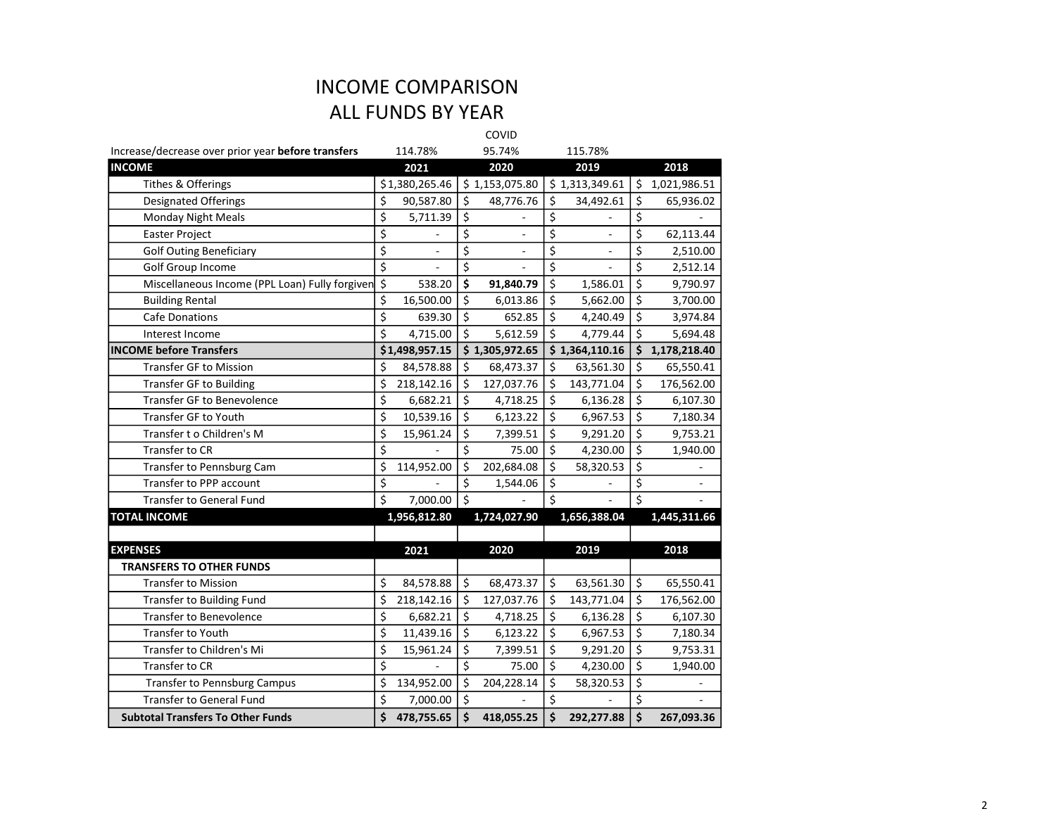## INCOME COMPARISON ALL FUNDS BY YEAR

COVID

| Increase/decrease over prior year before transfers |                                     | 114.78%        |                                     | 95.74%         |                  | 115.78%        |                  |              |
|----------------------------------------------------|-------------------------------------|----------------|-------------------------------------|----------------|------------------|----------------|------------------|--------------|
| <b>INCOME</b>                                      |                                     | 2021           |                                     | 2020           |                  | 2019           |                  | 2018         |
| Tithes & Offerings                                 |                                     | \$1,380,265.46 |                                     | \$1,153,075.80 |                  | \$1,313,349.61 | \$               | 1,021,986.51 |
| Designated Offerings                               | \$                                  | 90,587.80      | \$                                  | 48,776.76      | \$               | 34,492.61      | \$               | 65,936.02    |
| Monday Night Meals                                 | \$                                  | 5,711.39       | \$                                  |                | \$               |                | \$               |              |
| Easter Project                                     | \$                                  |                | \$                                  |                | $\overline{\xi}$ |                | \$               | 62,113.44    |
| <b>Golf Outing Beneficiary</b>                     | \$                                  |                | \$                                  |                | \$               |                | \$               | 2,510.00     |
| Golf Group Income                                  | $\overline{\xi}$                    |                | $\overline{\boldsymbol{\varsigma}}$ |                | \$               |                | \$               | 2,512.14     |
| Miscellaneous Income (PPL Loan) Fully forgiven     | $\overline{\xi}$                    | 538.20         | \$                                  | 91,840.79      | \$               | 1,586.01       | \$               | 9,790.97     |
| <b>Building Rental</b>                             | \$                                  | 16,500.00      | \$                                  | 6,013.86       | \$               | 5,662.00       | \$               | 3,700.00     |
| Cafe Donations                                     | $\overline{\boldsymbol{\varsigma}}$ | 639.30         | \$                                  | 652.85         | \$               | 4,240.49       | \$               | 3,974.84     |
| Interest Income                                    | \$                                  | 4,715.00       | \$                                  | 5,612.59       | \$               | 4,779.44       | \$               | 5,694.48     |
| <b>INCOME before Transfers</b>                     |                                     | \$1,498,957.15 |                                     | \$1,305,972.65 |                  | \$1,364,110.16 | \$               | 1,178,218.40 |
| <b>Transfer GF to Mission</b>                      | \$                                  | 84,578.88      | \$                                  | 68,473.37      | \$               | 63,561.30      | \$               | 65,550.41    |
| <b>Transfer GF to Building</b>                     | \$                                  | 218,142.16     | \$                                  | 127,037.76     | $\zeta$          | 143,771.04     | \$               | 176,562.00   |
| Transfer GF to Benevolence                         | \$                                  | 6,682.21       | \$                                  | 4,718.25       | \$               | 6,136.28       | $\overline{\xi}$ | 6,107.30     |
| <b>Transfer GF to Youth</b>                        | \$                                  | 10,539.16      | \$                                  | 6,123.22       | \$               | 6,967.53       | \$               | 7,180.34     |
| Transfer t o Children's M                          | \$                                  | 15,961.24      | \$                                  | 7,399.51       | \$               | 9,291.20       | \$               | 9,753.21     |
| Transfer to CR                                     | $\overline{\boldsymbol{\varsigma}}$ |                | $\overline{\boldsymbol{\zeta}}$     | 75.00          | \$               | 4,230.00       | \$               | 1,940.00     |
| Transfer to Pennsburg Cam                          | \$                                  | 114,952.00     | \$                                  | 202,684.08     | \$               | 58,320.53      | \$               |              |
| Transfer to PPP account                            | \$                                  |                | \$                                  | 1,544.06       | \$               |                | \$               |              |
| <b>Transfer to General Fund</b>                    | \$                                  | 7,000.00       | \$                                  |                | Ś                |                | Ś                |              |
| <b>TOTAL INCOME</b>                                |                                     | 1,956,812.80   |                                     | 1,724,027.90   |                  | 1,656,388.04   |                  | 1,445,311.66 |
|                                                    |                                     |                |                                     |                |                  |                |                  |              |
| <b>EXPENSES</b>                                    |                                     | 2021           |                                     | 2020           |                  | 2019           |                  | 2018         |
| <b>TRANSFERS TO OTHER FUNDS</b>                    |                                     |                |                                     |                |                  |                |                  |              |
| <b>Transfer to Mission</b>                         | \$                                  | 84,578.88      | \$                                  | 68,473.37      | \$               | 63,561.30      | \$               | 65,550.41    |
| Transfer to Building Fund                          | \$                                  | 218,142.16     | \$                                  | 127,037.76     | $\zeta$          | 143,771.04     | \$               | 176,562.00   |
| Transfer to Benevolence                            | $\overline{\boldsymbol{\varsigma}}$ | 6,682.21       | \$                                  | 4,718.25       | \$               | 6,136.28       | \$               | 6,107.30     |
| Transfer to Youth                                  | \$                                  | 11,439.16      | $\overline{\xi}$                    | 6,123.22       | $\zeta$          | 6,967.53       | $\overline{\xi}$ | 7,180.34     |
| Transfer to Children's Mi                          | \$                                  | 15,961.24      | \$                                  | 7,399.51       | \$               | 9,291.20       | $\overline{\xi}$ | 9,753.31     |
| Transfer to CR                                     | \$                                  |                | \$                                  | 75.00          | \$               | 4,230.00       | $\zeta$          | 1,940.00     |
| Transfer to Pennsburg Campus                       | \$                                  | 134,952.00     | \$                                  | 204,228.14     | \$               | 58,320.53      | \$               |              |
| <b>Transfer to General Fund</b>                    | \$                                  | 7,000.00       | \$                                  |                | \$               |                | \$               |              |
| <b>Subtotal Transfers To Other Funds</b>           | \$                                  | 478,755.65     | \$                                  | 418,055.25     | \$               | 292,277.88     | \$               | 267,093.36   |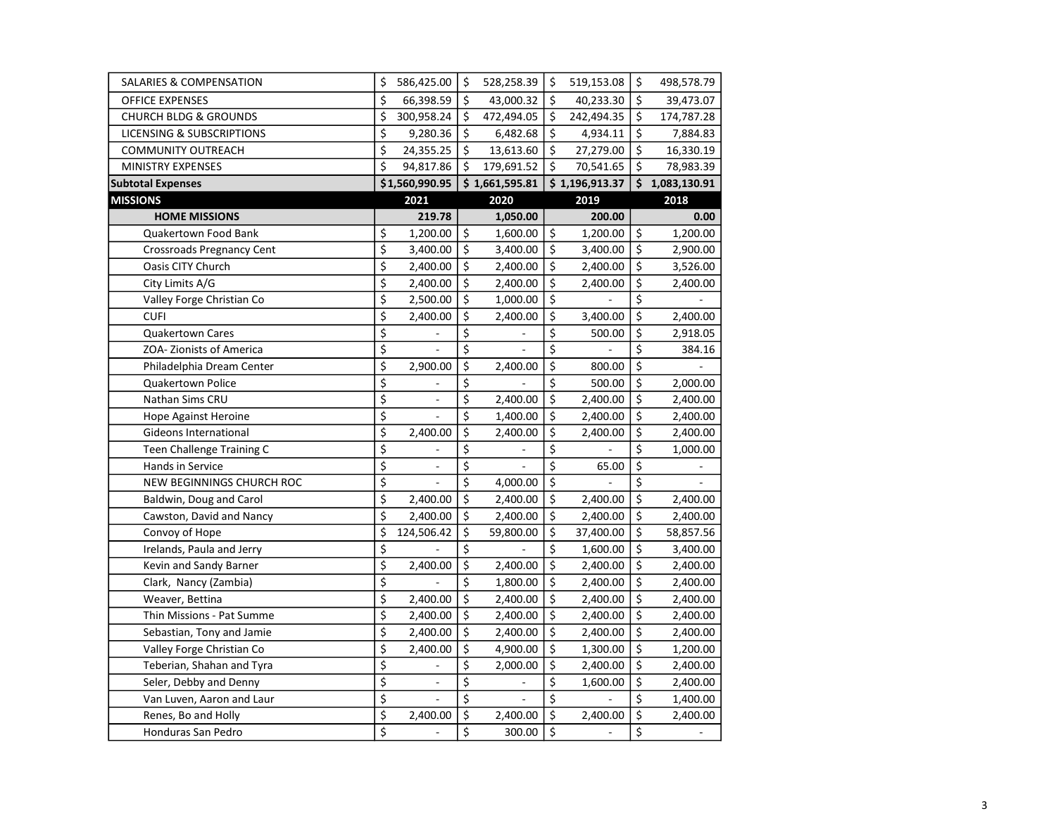| <b>SALARIES &amp; COMPENSATION</b>   | \$                                  | 586,425.00               | \$                                  | 528,258.39     | \$               | 519,153.08               | $\zeta$                         | 498,578.79     |
|--------------------------------------|-------------------------------------|--------------------------|-------------------------------------|----------------|------------------|--------------------------|---------------------------------|----------------|
| OFFICE EXPENSES                      | \$                                  | 66,398.59                | $\overline{\boldsymbol{\varsigma}}$ | 43,000.32      | $\zeta$          | 40,233.30                | \$                              | 39,473.07      |
| <b>CHURCH BLDG &amp; GROUNDS</b>     | \$                                  | 300,958.24               | \$                                  | 472,494.05     | $\zeta$          | 242,494.35               | $\zeta$                         | 174,787.28     |
| <b>LICENSING &amp; SUBSCRIPTIONS</b> | $\overline{\xi}$                    | 9,280.36                 | \$                                  | 6,482.68       | $\zeta$          | 4,934.11                 | $\overline{\xi}$                | 7,884.83       |
| <b>COMMUNITY OUTREACH</b>            | \$                                  | 24,355.25                | $\zeta$                             | 13,613.60      | \$               | 27,279.00                | $\overline{\mathsf{S}}$         | 16,330.19      |
| <b>MINISTRY EXPENSES</b>             | \$                                  | 94,817.86                | \$                                  | 179,691.52     | Ś.               | 70,541.65                | $\dot{\mathsf{S}}$              | 78,983.39      |
| <b>Subtotal Expenses</b>             |                                     | \$1,560,990.95           |                                     | \$1,661,595.81 |                  | \$1,196,913.37           |                                 | \$1,083,130.91 |
| <b>MISSIONS</b>                      |                                     | 2021                     |                                     | 2020           |                  | 2019                     |                                 | 2018           |
| <b>HOME MISSIONS</b>                 |                                     | 219.78                   |                                     | 1,050.00       |                  | 200.00                   |                                 | 0.00           |
| Quakertown Food Bank                 | \$                                  | 1,200.00                 | \$                                  | 1,600.00       | $\zeta$          | 1,200.00                 | Ś.                              | 1,200.00       |
| <b>Crossroads Pregnancy Cent</b>     | \$                                  | 3,400.00                 | \$                                  | 3,400.00       | $\zeta$          | 3,400.00                 | $\overline{\xi}$                | 2,900.00       |
| Oasis CITY Church                    | \$                                  | 2,400.00                 | $\zeta$                             | 2,400.00       | $\zeta$          | 2,400.00                 | $\zeta$                         | 3,526.00       |
| City Limits A/G                      | \$                                  | 2,400.00                 | \$                                  | 2,400.00       | \$               | 2,400.00                 | \$                              | 2,400.00       |
| Valley Forge Christian Co            | $\overline{\boldsymbol{\varsigma}}$ | 2,500.00                 | \$                                  | 1,000.00       | \$               |                          | \$                              |                |
| <b>CUFI</b>                          | \$                                  | 2,400.00                 | \$                                  | 2,400.00       | \$               | 3,400.00                 | \$                              | 2,400.00       |
| <b>Quakertown Cares</b>              | \$                                  |                          | \$                                  |                | \$               | 500.00                   | \$                              | 2,918.05       |
| ZOA-Zionists of America              | $\overline{\xi}$                    |                          | $\overline{\xi}$                    |                | $\overline{\xi}$ |                          | \$                              | 384.16         |
| Philadelphia Dream Center            | $\overline{\boldsymbol{\varsigma}}$ | 2,900.00                 | $\overline{\boldsymbol{\zeta}}$     | 2,400.00       | \$               | 800.00                   | $\overline{\xi}$                |                |
| Quakertown Police                    | \$                                  |                          | \$                                  |                | \$               | 500.00                   | $\overline{\xi}$                | 2,000.00       |
| Nathan Sims CRU                      | \$                                  | $\blacksquare$           | \$                                  | 2,400.00       | \$               | 2,400.00                 | $\dot{\mathsf{S}}$              | 2,400.00       |
| <b>Hope Against Heroine</b>          | $\overline{\boldsymbol{\varsigma}}$ |                          | $\overline{\boldsymbol{\zeta}}$     | 1,400.00       | \$               | 2,400.00                 | \$                              | 2,400.00       |
| Gideons International                | \$                                  | 2,400.00                 | \$                                  | 2,400.00       | \$               | 2,400.00                 | \$                              | 2,400.00       |
| Teen Challenge Training C            | \$                                  |                          | \$                                  |                | \$               |                          | \$                              | 1,000.00       |
| Hands in Service                     | $\overline{\xi}$                    |                          | $\overline{\xi}$                    |                | $\overline{\xi}$ | 65.00                    | $\overline{\boldsymbol{\zeta}}$ |                |
| NEW BEGINNINGS CHURCH ROC            | $\overline{\boldsymbol{\varsigma}}$ |                          | $\overline{\boldsymbol{\varsigma}}$ | 4,000.00       | \$               |                          | \$                              |                |
| Baldwin, Doug and Carol              | $\overline{\xi}$                    | 2,400.00                 | $\overline{\xi}$                    | 2,400.00       | $\zeta$          | 2,400.00                 | $\overline{\xi}$                | 2,400.00       |
| Cawston, David and Nancy             | \$                                  | 2,400.00                 | \$                                  | 2,400.00       | $\zeta$          | 2,400.00                 | \$                              | 2,400.00       |
| Convoy of Hope                       | \$                                  | 124,506.42               | \$                                  | 59,800.00      | \$               | 37,400.00                | \$                              | 58,857.56      |
| Irelands, Paula and Jerry            | \$                                  |                          | \$                                  |                | \$               | 1,600.00                 | \$                              | 3,400.00       |
| Kevin and Sandy Barner               | \$                                  | 2,400.00                 | \$                                  | 2,400.00       | $\zeta$          | 2,400.00                 | \$                              | 2,400.00       |
| Clark, Nancy (Zambia)                | $\overline{\xi}$                    |                          | $\overline{\xi}$                    | 1,800.00       | $\zeta$          | 2,400.00                 | $\overline{\xi}$                | 2,400.00       |
| Weaver, Bettina                      | \$                                  | 2,400.00                 | $\overline{\boldsymbol{\zeta}}$     | 2,400.00       | \$               | 2,400.00                 | $\overline{\mathsf{s}}$         | 2,400.00       |
| Thin Missions - Pat Summe            | \$                                  | 2,400.00                 | $\overline{\boldsymbol{\varsigma}}$ | 2,400.00       | $\zeta$          | 2,400.00                 | $\zeta$                         | 2,400.00       |
| Sebastian, Tony and Jamie            | \$                                  | 2,400.00                 | \$                                  | 2,400.00       | \$               | 2,400.00                 | \$                              | 2,400.00       |
| Valley Forge Christian Co            | \$                                  | 2,400.00                 | \$                                  | 4,900.00       | \$               | 1,300.00                 | \$                              | 1,200.00       |
| Teberian, Shahan and Tyra            | $\overline{\boldsymbol{\varsigma}}$ |                          | \$                                  | 2,000.00       | \$               | 2,400.00                 | \$                              | 2,400.00       |
| Seler, Debby and Denny               | \$                                  | $\blacksquare$           | \$                                  |                | \$               | 1,600.00                 | \$                              | 2,400.00       |
| Van Luven, Aaron and Laur            | $\overline{\xi}$                    |                          | $\overline{\xi}$                    |                | \$               |                          | \$                              | 1,400.00       |
| Renes, Bo and Holly                  | \$                                  | 2,400.00                 | $\overline{\boldsymbol{\zeta}}$     | 2,400.00       | $\overline{\xi}$ | 2,400.00                 | $\overline{\xi}$                | 2,400.00       |
| Honduras San Pedro                   | \$                                  | $\overline{\phantom{a}}$ | \$                                  | 300.00         | $\zeta$          | $\overline{\phantom{a}}$ | $\overline{\xi}$                | $\equiv$       |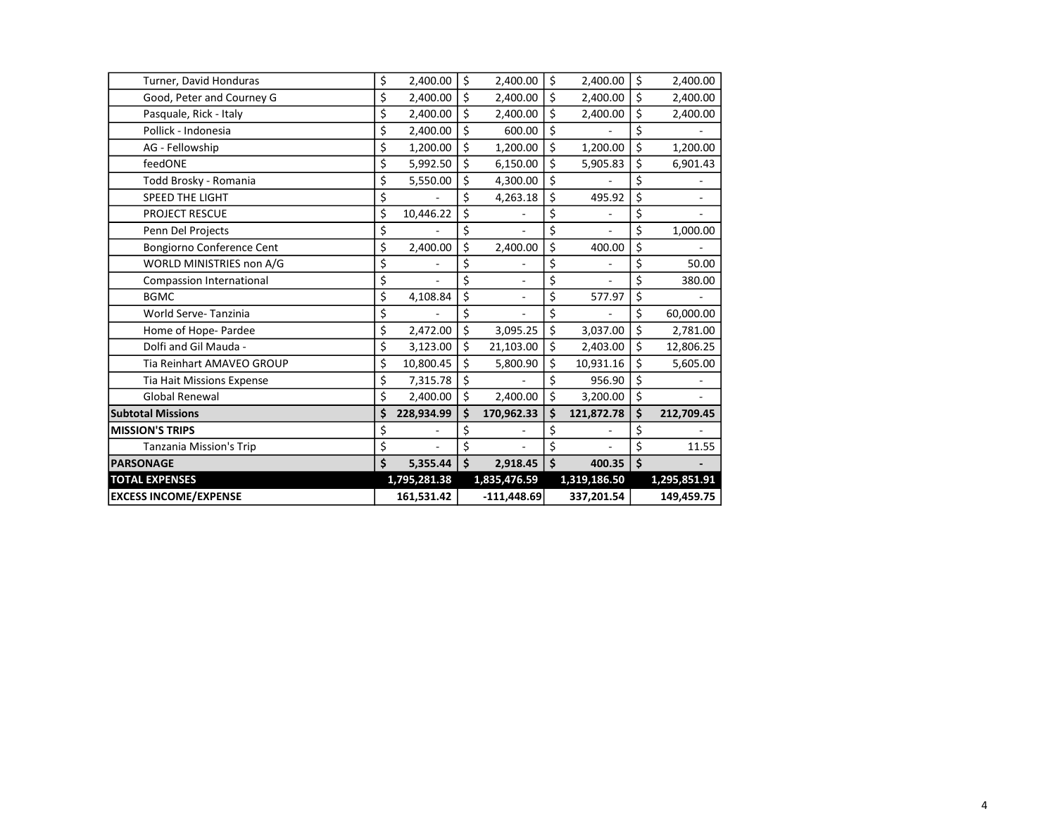| <b>EXCESS INCOME/EXPENSE</b>     | 161,531.42      |    | $-111,448.69$            |         | 337,201.54   |    | 149,459.75   |
|----------------------------------|-----------------|----|--------------------------|---------|--------------|----|--------------|
| <b>TOTAL EXPENSES</b>            | 1,795,281.38    |    | 1,835,476.59             |         | 1,319,186.50 |    | 1,295,851.91 |
| <b>PARSONAGE</b>                 | \$<br>5,355.44  | \$ | 2,918.45                 | \$      | 400.35       | \$ |              |
| <b>Tanzania Mission's Trip</b>   | \$              | \$ |                          | \$      |              | \$ | 11.55        |
| <b>MISSION'S TRIPS</b>           | \$              | \$ |                          | \$      |              | \$ |              |
| <b>Subtotal Missions</b>         | 228.934.99      | Ś  | 170,962.33               | \$      | 121,872.78   | Ś  | 212,709.45   |
| <b>Global Renewal</b>            | \$<br>2,400.00  | \$ | 2,400.00                 | \$      | 3,200.00     | \$ |              |
| <b>Tia Hait Missions Expense</b> | \$<br>7,315.78  | \$ |                          | \$      | 956.90       | \$ |              |
| Tia Reinhart AMAVEO GROUP        | \$<br>10,800.45 | \$ | 5,800.90                 | \$      | 10,931.16    | Ś. | 5,605.00     |
| Dolfi and Gil Mauda -            | \$<br>3,123.00  | \$ | 21,103.00                | \$      | 2,403.00     | \$ | 12,806.25    |
| Home of Hope- Pardee             | \$<br>2,472.00  | \$ | 3,095.25                 | \$      | 3,037.00     | \$ | 2,781.00     |
| World Serve-Tanzinia             | \$              | \$ |                          | \$      |              | \$ | 60,000.00    |
| <b>BGMC</b>                      | \$<br>4,108.84  | \$ |                          | \$      | 577.97       | \$ |              |
| Compassion International         | \$              | \$ | $\overline{\phantom{a}}$ | \$      |              | \$ | 380.00       |
| WORLD MINISTRIES non A/G         | \$              | \$ |                          | \$      |              | \$ | 50.00        |
| Bongiorno Conference Cent        | \$<br>2,400.00  | \$ | 2,400.00                 | \$      | 400.00       | \$ |              |
| Penn Del Projects                | \$              | \$ |                          | \$      |              | \$ | 1,000.00     |
| PROJECT RESCUE                   | \$<br>10,446.22 | \$ |                          | \$      |              | \$ |              |
| <b>SPEED THE LIGHT</b>           | \$              | \$ | 4,263.18                 | \$      | 495.92       | \$ |              |
| Todd Brosky - Romania            | \$<br>5,550.00  | \$ | 4,300.00                 | \$      |              |    |              |
| feedONE                          | \$<br>5,992.50  | \$ | 6,150.00                 | \$      | 5,905.83     | \$ | 6,901.43     |
| AG - Fellowship                  | \$<br>1,200.00  | \$ | 1,200.00                 | \$      | 1,200.00     | Ś  | 1,200.00     |
| Pollick - Indonesia              | \$<br>2,400.00  | \$ | 600.00                   | \$      |              | \$ |              |
| Pasquale, Rick - Italy           | \$<br>2,400.00  | \$ | 2,400.00                 | \$      | 2,400.00     | \$ | 2,400.00     |
| Good, Peter and Courney G        | \$<br>2,400.00  | \$ | 2,400.00                 | \$      | 2,400.00     | \$ | 2,400.00     |
| Turner, David Honduras           | \$<br>2,400.00  | \$ | 2,400.00                 | $\zeta$ | 2,400.00     | \$ | 2,400.00     |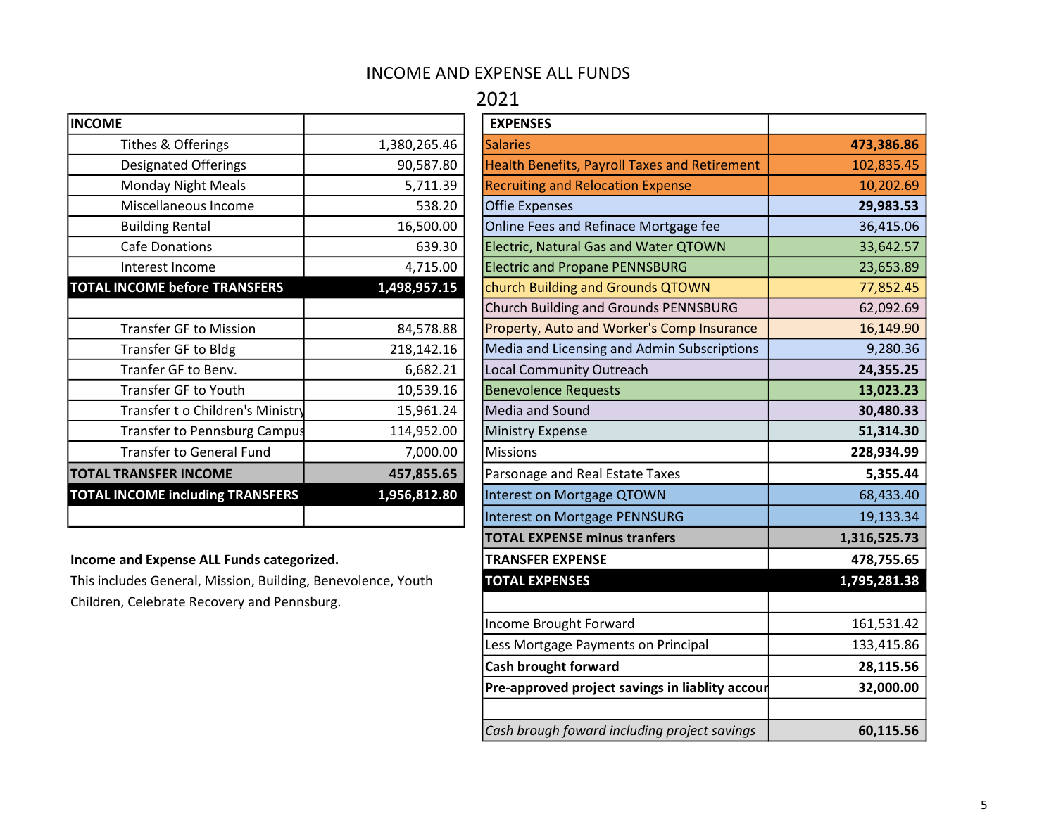### INCOME AND EXPENSE ALL FUNDS

### 2021

| <b>INCOME</b>                           |              | <b>EXPENSES</b>     |
|-----------------------------------------|--------------|---------------------|
| Tithes & Offerings                      | 1,380,265.46 | <b>Salaries</b>     |
| <b>Designated Offerings</b>             | 90,587.80    | <b>Health Bene</b>  |
| <b>Monday Night Meals</b>               | 5,711.39     | <b>Recruiting a</b> |
| Miscellaneous Income                    | 538.20       | <b>Offie Expen</b>  |
| <b>Building Rental</b>                  | 16,500.00    | <b>Online Fees</b>  |
| <b>Cafe Donations</b>                   | 639.30       | Electric, Na        |
| Interest Income                         | 4,715.00     | <b>Electric</b> and |
| <b>TOTAL INCOME before TRANSFERS</b>    | 1,498,957.15 | church Buil         |
|                                         |              | <b>Church Buil</b>  |
| <b>Transfer GF to Mission</b>           | 84,578.88    | Property, A         |
| Transfer GF to Bldg                     | 218,142.16   | Media and           |
| Tranfer GF to Benv.                     | 6,682.21     | Local Comn          |
| <b>Transfer GF to Youth</b>             | 10,539.16    | Benevolend          |
| Transfer t o Children's Ministry        | 15,961.24    | Media and           |
| Transfer to Pennsburg Campus            | 114,952.00   | Ministry Ex         |
| <b>Transfer to General Fund</b>         | 7,000.00     | <b>Missions</b>     |
| <b>TOTAL TRANSFER INCOME</b>            | 457,855.65   | Parsonage a         |
| <b>TOTAL INCOME including TRANSFERS</b> | 1,956,812.80 | Interest on         |
|                                         |              | Interest on         |

#### Income and Expense ALL Funds categorized.

| <b>INCOME</b>                                                |              | <b>EXPENSES</b>                                 |              |
|--------------------------------------------------------------|--------------|-------------------------------------------------|--------------|
| Tithes & Offerings                                           | 1,380,265.46 | <b>Salaries</b>                                 | 473,386.86   |
| Designated Offerings                                         | 90,587.80    | Health Benefits, Payroll Taxes and Retirement   | 102,835.45   |
| <b>Monday Night Meals</b>                                    | 5,711.39     | <b>Recruiting and Relocation Expense</b>        | 10,202.69    |
| Miscellaneous Income                                         | 538.20       | <b>Offie Expenses</b>                           | 29,983.53    |
| <b>Building Rental</b>                                       | 16,500.00    | Online Fees and Refinace Mortgage fee           | 36,415.06    |
| <b>Cafe Donations</b>                                        | 639.30       | <b>Electric, Natural Gas and Water QTOWN</b>    | 33,642.57    |
| Interest Income                                              | 4,715.00     | <b>Electric and Propane PENNSBURG</b>           | 23,653.89    |
| <b>TOTAL INCOME before TRANSFERS</b>                         | 1,498,957.15 | church Building and Grounds QTOWN               | 77,852.45    |
|                                                              |              | Church Building and Grounds PENNSBURG           | 62,092.69    |
| <b>Transfer GF to Mission</b>                                | 84,578.88    | Property, Auto and Worker's Comp Insurance      | 16,149.90    |
| Transfer GF to Bldg                                          | 218,142.16   | Media and Licensing and Admin Subscriptions     | 9,280.36     |
| Tranfer GF to Benv.                                          | 6,682.21     | <b>Local Community Outreach</b>                 | 24,355.25    |
| Transfer GF to Youth                                         | 10,539.16    | <b>Benevolence Requests</b>                     | 13,023.23    |
| Transfer t o Children's Ministry                             | 15,961.24    | Media and Sound                                 | 30,480.33    |
| <b>Transfer to Pennsburg Campus</b>                          | 114,952.00   | <b>Ministry Expense</b>                         | 51,314.30    |
| <b>Transfer to General Fund</b>                              | 7,000.00     | <b>Missions</b>                                 | 228,934.99   |
| <b>TOTAL TRANSFER INCOME</b>                                 | 457,855.65   | Parsonage and Real Estate Taxes                 | 5,355.44     |
| <b>TOTAL INCOME including TRANSFERS</b>                      | 1,956,812.80 | Interest on Mortgage QTOWN                      | 68,433.40    |
|                                                              |              | Interest on Mortgage PENNSURG                   | 19,133.34    |
|                                                              |              | <b>TOTAL EXPENSE minus tranfers</b>             | 1,316,525.73 |
| Income and Expense ALL Funds categorized.                    |              | <b>TRANSFER EXPENSE</b>                         | 478,755.65   |
| This includes General, Mission, Building, Benevolence, Youth |              | <b>TOTAL EXPENSES</b>                           | 1,795,281.38 |
| Children, Celebrate Recovery and Pennsburg.                  |              |                                                 |              |
|                                                              |              | Income Brought Forward                          | 161,531.42   |
|                                                              |              | Less Mortgage Payments on Principal             | 133,415.86   |
|                                                              |              | Cash brought forward                            | 28,115.56    |
|                                                              |              | Pre-approved project savings in liablity accour | 32,000.00    |
|                                                              |              |                                                 |              |
|                                                              |              | Cash brough foward including project savings    | 60,115.56    |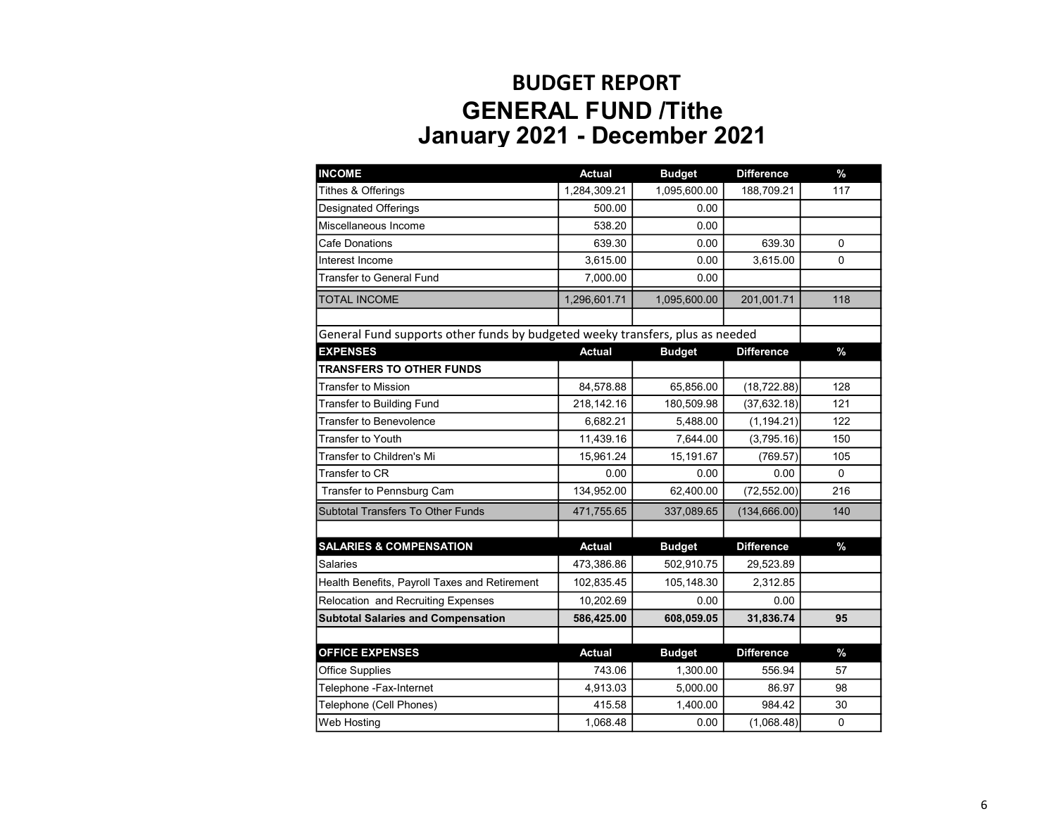# BUDGET REPORT GENERAL FUND /Tithe January 2021 - December 2021

| <b>INCOME</b>                                                                 | <b>Actual</b> | <b>Budget</b> | <b>Difference</b> | $\%$          |
|-------------------------------------------------------------------------------|---------------|---------------|-------------------|---------------|
| <b>Tithes &amp; Offerings</b>                                                 | 1,284,309.21  | 1,095,600.00  | 188,709.21        | 117           |
| <b>Designated Offerings</b>                                                   | 500.00        | 0.00          |                   |               |
| Miscellaneous Income                                                          | 538.20        | 0.00          |                   |               |
| <b>Cafe Donations</b>                                                         | 639.30        | 0.00          | 639.30            | $\mathbf 0$   |
| Interest Income                                                               | 3,615.00      | 0.00          | 3,615.00          | $\Omega$      |
| <b>Transfer to General Fund</b>                                               | 7,000.00      | 0.00          |                   |               |
| <b>TOTAL INCOME</b>                                                           | 1,296,601.71  | 1,095,600.00  | 201,001.71        | 118           |
|                                                                               |               |               |                   |               |
| General Fund supports other funds by budgeted weeky transfers, plus as needed |               |               |                   |               |
| <b>EXPENSES</b>                                                               | <b>Actual</b> | <b>Budget</b> | <b>Difference</b> | $\%$          |
| <b>TRANSFERS TO OTHER FUNDS</b>                                               |               |               |                   |               |
| <b>Transfer to Mission</b>                                                    | 84,578.88     | 65,856.00     | (18, 722.88)      | 128           |
| Transfer to Building Fund                                                     | 218,142.16    | 180,509.98    | (37, 632.18)      | 121           |
| Transfer to Benevolence                                                       | 6,682.21      | 5,488.00      | (1, 194.21)       | 122           |
| <b>Transfer to Youth</b>                                                      | 11,439.16     | 7,644.00      | (3,795.16)        | 150           |
| Transfer to Children's Mi                                                     | 15,961.24     | 15,191.67     | (769.57)          | 105           |
| Transfer to CR                                                                | 0.00          | 0.00          | 0.00              | $\Omega$      |
| Transfer to Pennsburg Cam                                                     | 134,952.00    | 62,400.00     | (72, 552.00)      | 216           |
| Subtotal Transfers To Other Funds                                             | 471,755.65    | 337,089.65    | (134, 666.00)     | 140           |
|                                                                               |               |               |                   |               |
| <b>SALARIES &amp; COMPENSATION</b>                                            | <b>Actual</b> | <b>Budget</b> | <b>Difference</b> | $\%$          |
| Salaries                                                                      | 473,386.86    | 502,910.75    | 29,523.89         |               |
| Health Benefits, Payroll Taxes and Retirement                                 | 102,835.45    | 105,148.30    | 2,312.85          |               |
| Relocation and Recruiting Expenses                                            | 10,202.69     | 0.00          | 0.00              |               |
| <b>Subtotal Salaries and Compensation</b>                                     | 586,425.00    | 608,059.05    | 31,836.74         | 95            |
| <b>OFFICE EXPENSES</b>                                                        | <b>Actual</b> | <b>Budget</b> | <b>Difference</b> | $\frac{0}{2}$ |
| <b>Office Supplies</b>                                                        | 743.06        | 1,300.00      | 556.94            | 57            |
| Telephone -Fax-Internet                                                       | 4,913.03      | 5,000.00      | 86.97             | 98            |
| Telephone (Cell Phones)                                                       | 415.58        | 1,400.00      | 984.42            | 30            |
| Web Hosting                                                                   | 1,068.48      | 0.00          | (1,068.48)        | $\mathbf 0$   |
|                                                                               |               |               |                   |               |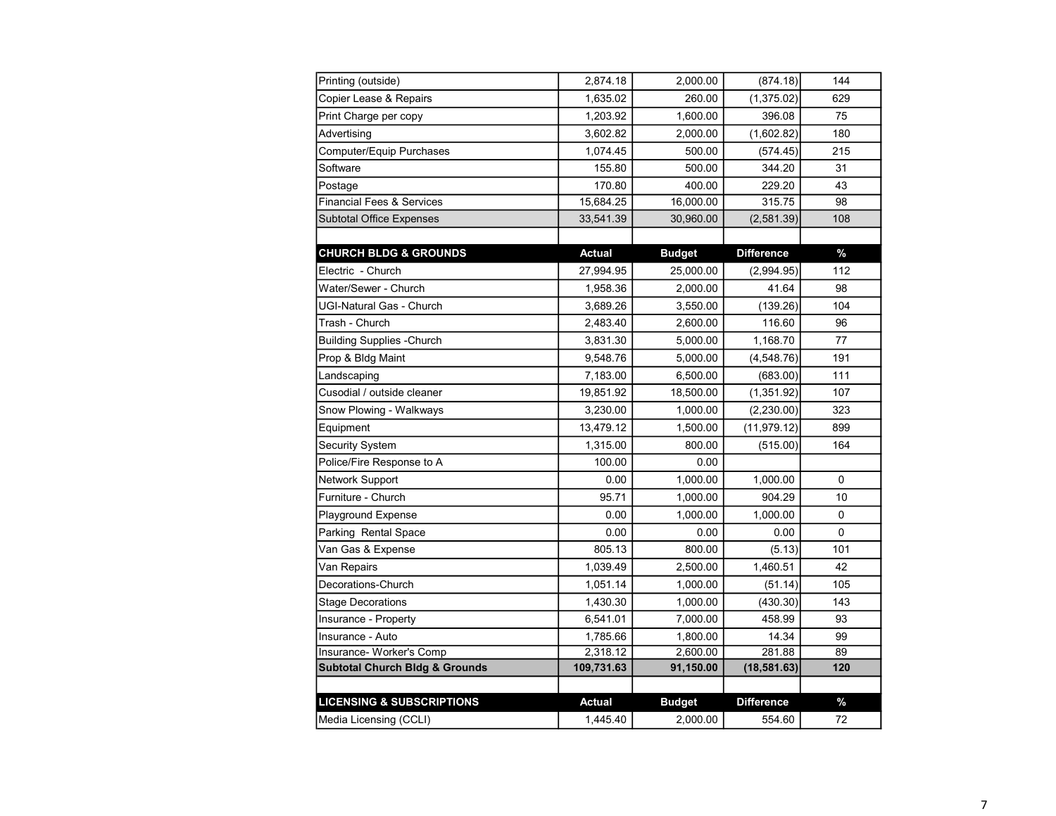| Printing (outside)                        | 2,874.18      | 2,000.00      | (874.18)          | 144           |
|-------------------------------------------|---------------|---------------|-------------------|---------------|
| Copier Lease & Repairs                    | 1,635.02      | 260.00        | (1,375.02)        | 629           |
| Print Charge per copy                     | 1,203.92      | 1,600.00      | 396.08            | 75            |
| Advertising                               | 3,602.82      | 2,000.00      | (1,602.82)        | 180           |
| Computer/Equip Purchases                  | 1,074.45      | 500.00        | (574.45)          | 215           |
| Software                                  | 155.80        | 500.00        | 344.20            | 31            |
| Postage                                   | 170.80        | 400.00        | 229.20            | 43            |
| <b>Financial Fees &amp; Services</b>      | 15,684.25     | 16,000.00     | 315.75            | 98            |
| <b>Subtotal Office Expenses</b>           | 33,541.39     | 30,960.00     | (2,581.39)        | 108           |
|                                           |               |               |                   |               |
| <b>CHURCH BLDG &amp; GROUNDS</b>          | <b>Actual</b> | <b>Budget</b> | <b>Difference</b> | $\frac{9}{6}$ |
| Electric - Church                         | 27,994.95     | 25,000.00     | (2,994.95)        | 112           |
| Water/Sewer - Church                      | 1,958.36      | 2,000.00      | 41.64             | 98            |
| UGI-Natural Gas - Church                  | 3,689.26      | 3,550.00      | (139.26)          | 104           |
| Trash - Church                            | 2,483.40      | 2,600.00      | 116.60            | 96            |
| <b>Building Supplies -Church</b>          | 3,831.30      | 5,000.00      | 1,168.70          | 77            |
| Prop & Bldg Maint                         | 9,548.76      | 5,000.00      | (4, 548.76)       | 191           |
| Landscaping                               | 7,183.00      | 6,500.00      | (683.00)          | 111           |
| Cusodial / outside cleaner                | 19,851.92     | 18,500.00     | (1, 351.92)       | 107           |
| Snow Plowing - Walkways                   | 3,230.00      | 1,000.00      | (2, 230.00)       | 323           |
| Equipment                                 | 13,479.12     | 1,500.00      | (11, 979.12)      | 899           |
| <b>Security System</b>                    | 1,315.00      | 800.00        | (515.00)          | 164           |
| Police/Fire Response to A                 | 100.00        | 0.00          |                   |               |
| Network Support                           | 0.00          | 1,000.00      | 1,000.00          | 0             |
| Furniture - Church                        | 95.71         | 1,000.00      | 904.29            | 10            |
| Playground Expense                        | 0.00          | 1,000.00      | 1,000.00          | 0             |
| Parking Rental Space                      | 0.00          | 0.00          | 0.00              | $\Omega$      |
| Van Gas & Expense                         | 805.13        | 800.00        | (5.13)            | 101           |
| Van Repairs                               | 1,039.49      | 2,500.00      | 1,460.51          | 42            |
| Decorations-Church                        | 1,051.14      | 1,000.00      | (51.14)           | 105           |
| Stage Decorations                         | 1,430.30      | 1,000.00      | (430.30)          | 143           |
| Insurance - Property                      | 6,541.01      | 7,000.00      | 458.99            | 93            |
| Insurance - Auto                          | 1,785.66      | 1,800.00      | 14.34             | 99            |
| Insurance- Worker's Comp                  | 2,318.12      | 2,600.00      | 281.88            | 89            |
| <b>Subtotal Church Bldg &amp; Grounds</b> | 109,731.63    | 91,150.00     | (18, 581.63)      | 120           |
|                                           |               |               |                   |               |
| <b>LICENSING &amp; SUBSCRIPTIONS</b>      | <b>Actual</b> | <b>Budget</b> | <b>Difference</b> | $\%$          |
| Media Licensing (CCLI)                    | 1,445.40      | 2,000.00      | 554.60            | 72            |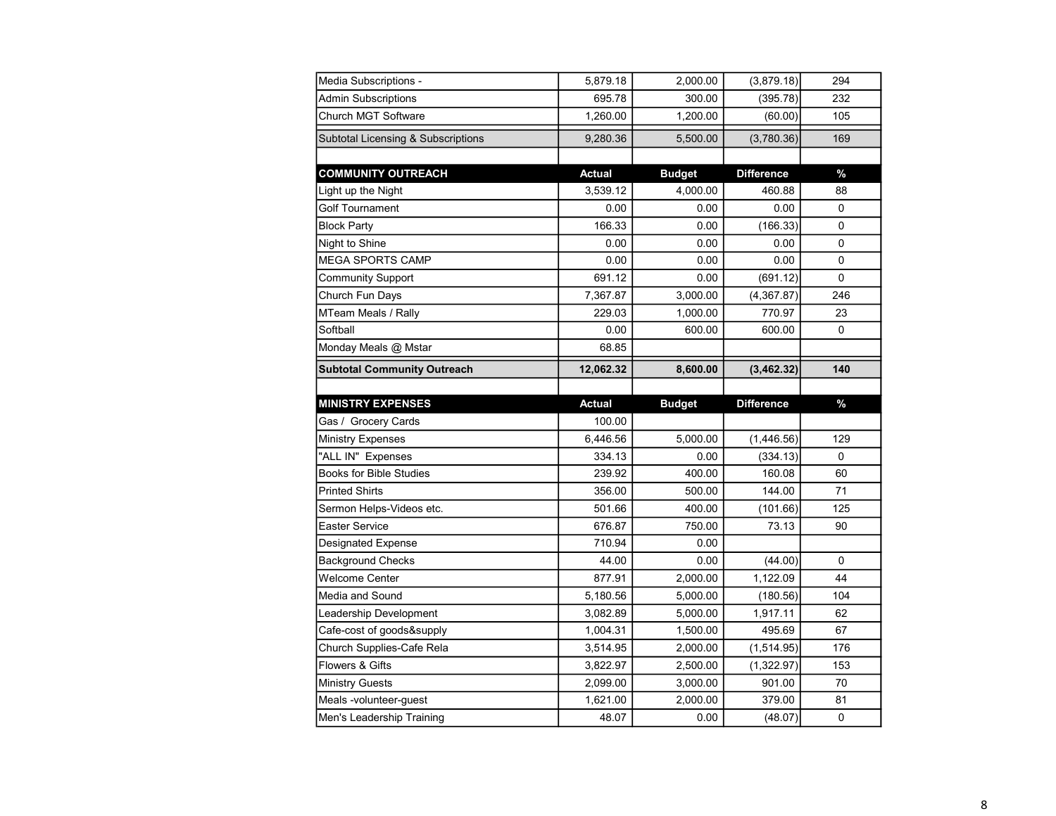| Media Subscriptions -                         | 5,879.18      | 2,000.00      | (3,879.18)        | 294         |
|-----------------------------------------------|---------------|---------------|-------------------|-------------|
| <b>Admin Subscriptions</b>                    | 695.78        | 300.00        | (395.78)          | 232         |
| <b>Church MGT Software</b>                    | 1,260.00      | 1,200.00      | (60.00)           | 105         |
| <b>Subtotal Licensing &amp; Subscriptions</b> | 9,280.36      | 5,500.00      | (3,780.36)        | 169         |
|                                               |               |               |                   |             |
| <b>COMMUNITY OUTREACH</b>                     | <b>Actual</b> | <b>Budget</b> | <b>Difference</b> | $\%$        |
| Light up the Night                            | 3,539.12      | 4,000.00      | 460.88            | 88          |
| <b>Golf Tournament</b>                        | 0.00          | 0.00          | 0.00              | $\mathbf 0$ |
| <b>Block Party</b>                            | 166.33        | 0.00          | (166.33)          | 0           |
| Night to Shine                                | 0.00          | 0.00          | 0.00              | 0           |
| <b>MEGA SPORTS CAMP</b>                       | 0.00          | 0.00          | 0.00              | 0           |
| <b>Community Support</b>                      | 691.12        | 0.00          | (691.12)          | $\mathbf 0$ |
| Church Fun Days                               | 7,367.87      | 3,000.00      | (4,367.87)        | 246         |
| MTeam Meals / Rally                           | 229.03        | 1,000.00      | 770.97            | 23          |
| Softball                                      | 0.00          | 600.00        | 600.00            | 0           |
| Monday Meals @ Mstar                          | 68.85         |               |                   |             |
| <b>Subtotal Community Outreach</b>            | 12,062.32     | 8,600.00      | (3,462.32)        | 140         |
|                                               |               |               |                   |             |
|                                               |               |               |                   |             |
| <b>MINISTRY EXPENSES</b>                      | <b>Actual</b> | <b>Budget</b> | <b>Difference</b> | $\%$        |
| Gas / Grocery Cards                           | 100.00        |               |                   |             |
| <b>Ministry Expenses</b>                      | 6,446.56      | 5,000.00      | (1,446.56)        | 129         |
| "ALL IN" Expenses                             | 334.13        | 0.00          | (334.13)          | $\Omega$    |
| <b>Books for Bible Studies</b>                | 239.92        | 400.00        | 160.08            | 60          |
| <b>Printed Shirts</b>                         | 356.00        | 500.00        | 144.00            | 71          |
| Sermon Helps-Videos etc.                      | 501.66        | 400.00        | (101.66)          | 125         |
| <b>Easter Service</b>                         | 676.87        | 750.00        | 73.13             | 90          |
| Designated Expense                            | 710.94        | 0.00          |                   |             |
| <b>Background Checks</b>                      | 44.00         | 0.00          | (44.00)           | 0           |
| Welcome Center                                | 877.91        | 2,000.00      | 1,122.09          | 44          |
| Media and Sound                               | 5,180.56      | 5,000.00      | (180.56)          | 104         |
| Leadership Development                        | 3,082.89      | 5,000.00      | 1,917.11          | 62          |
| Cafe-cost of goods&supply                     | 1,004.31      | 1,500.00      | 495.69            | 67          |
| Church Supplies-Cafe Rela                     | 3,514.95      | 2,000.00      | (1, 514.95)       | 176         |
| Flowers & Gifts                               | 3,822.97      | 2,500.00      | (1,322.97)        | 153         |
| <b>Ministry Guests</b>                        | 2,099.00      | 3,000.00      | 901.00            | 70          |
| Meals -volunteer-guest                        | 1,621.00      | 2,000.00      | 379.00            | 81          |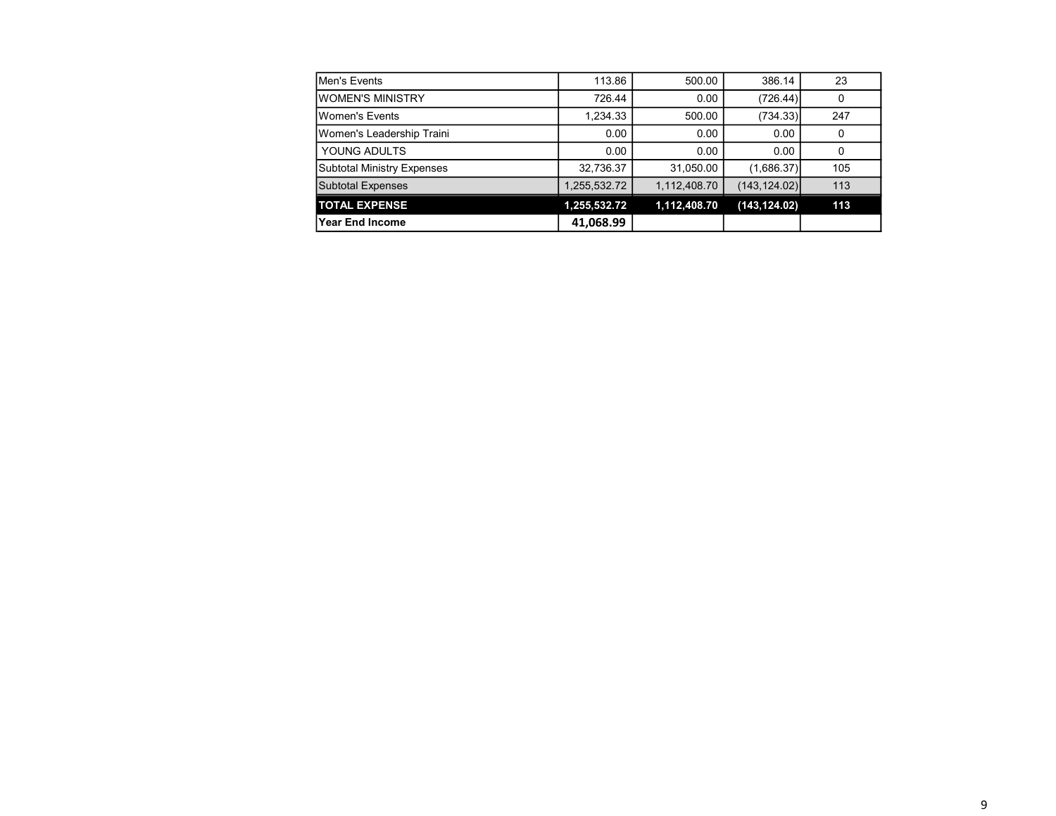| Men's Events                      | 113.86       | 500.00       | 386.14        | 23  |
|-----------------------------------|--------------|--------------|---------------|-----|
| IWOMEN'S MINISTRY                 | 726.44       | 0.00         | (726.44)      |     |
| <b>I</b> Women's Events           | 1,234.33     | 500.00       | (734.33)      | 247 |
| Women's Leadership Traini         | 0.00         | 0.00         | 0.00          |     |
| YOUNG ADULTS                      | 0.00         | 0.00         | 0.00          |     |
| <b>Subtotal Ministry Expenses</b> | 32,736.37    | 31,050.00    | (1,686.37)    | 105 |
| <b>Subtotal Expenses</b>          | 1,255,532.72 | 1,112,408.70 | (143, 124.02) | 113 |
| <b>TOTAL EXPENSE</b>              | 1,255,532.72 | 1,112,408.70 | (143, 124.02) | 113 |
| lYear End Income                  | 41,068.99    |              |               |     |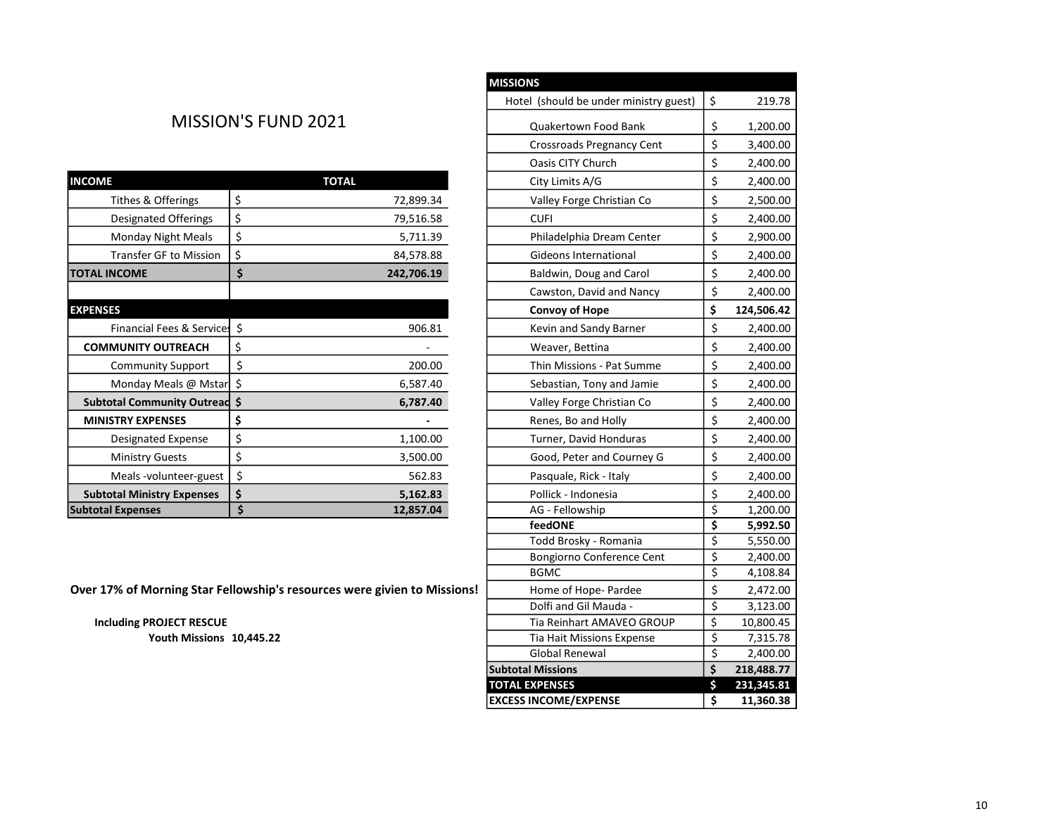## MISSION'S FUND 2021

|                                   |    |              |                           | -,               |
|-----------------------------------|----|--------------|---------------------------|------------------|
| <b>INCOME</b>                     |    | <b>TOTAL</b> | City Limits A/G           | \$<br>2,400.00   |
| Tithes & Offerings                | \$ | 72,899.34    | Valley Forge Christian Co | \$<br>2,500.00   |
| <b>Designated Offerings</b>       | \$ | 79,516.58    | <b>CUFI</b>               | \$<br>2,400.00   |
| Monday Night Meals                | \$ | 5,711.39     | Philadelphia Dream Center | \$<br>2,900.00   |
| Transfer GF to Mission            | Ś  | 84,578.88    | Gideons International     | \$<br>2,400.00   |
| <b>TOTAL INCOME</b>               | Ś. | 242,706.19   | Baldwin, Doug and Carol   | \$<br>2,400.00   |
|                                   |    |              | Cawston, David and Nancy  | \$<br>2,400.00   |
| <b>EXPENSES</b>                   |    |              | Convoy of Hope            | \$<br>124,506.42 |
| Financial Fees & Services \$      |    | 906.81       | Kevin and Sandy Barner    | \$<br>2,400.00   |
| <b>COMMUNITY OUTREACH</b>         |    |              | Weaver, Bettina           | \$<br>2,400.00   |
| <b>Community Support</b>          | Ś  | 200.00       | Thin Missions - Pat Summe | \$<br>2,400.00   |
| Monday Meals @ Mstar   \$         |    | 6,587.40     | Sebastian, Tony and Jamie | \$<br>2,400.00   |
| Subtotal Community Outread \$     |    | 6,787.40     | Valley Forge Christian Co | \$<br>2,400.00   |
| <b>MINISTRY EXPENSES</b>          | \$ |              | Renes, Bo and Holly       | \$<br>2,400.00   |
| Designated Expense                | \$ | 1,100.00     | Turner, David Honduras    | \$<br>2,400.00   |
| <b>Ministry Guests</b>            | \$ | 3,500.00     | Good, Peter and Courney G | \$<br>2,400.00   |
| Meals -volunteer-guest            | \$ | 562.83       | Pasquale, Rick - Italy    | \$<br>2,400.00   |
| <b>Subtotal Ministry Expenses</b> | \$ | 5,162.83     | Pollick - Indonesia       | \$<br>2,400.00   |
| <b>Subtotal Expenses</b>          |    | 12,857.04    | AG - Fellowship           | 1,200.00         |

| <b>MISSIONS</b>                        |                         |            |
|----------------------------------------|-------------------------|------------|
| Hotel (should be under ministry guest) | \$                      | 219.78     |
| Quakertown Food Bank                   | \$                      | 1,200.00   |
| Crossroads Pregnancy Cent              | \$                      | 3,400.00   |
| Oasis CITY Church                      | \$                      | 2,400.00   |
| City Limits A/G                        | \$                      | 2,400.00   |
| Valley Forge Christian Co              | \$                      | 2,500.00   |
| <b>CUFI</b>                            | \$                      | 2,400.00   |
| Philadelphia Dream Center              | \$                      | 2,900.00   |
| Gideons International                  | \$                      | 2,400.00   |
| Baldwin, Doug and Carol                | \$                      | 2,400.00   |
| Cawston, David and Nancy               | \$                      | 2,400.00   |
| <b>Convoy of Hope</b>                  | \$                      | 124,506.42 |
| Kevin and Sandy Barner                 | \$                      | 2,400.00   |
| Weaver, Bettina                        | \$                      | 2,400.00   |
| Thin Missions - Pat Summe              | \$                      | 2,400.00   |
| Sebastian, Tony and Jamie              | \$                      | 2,400.00   |
| Valley Forge Christian Co              | \$                      | 2,400.00   |
| Renes, Bo and Holly                    | \$                      | 2,400.00   |
| Turner, David Honduras                 | \$                      | 2,400.00   |
| Good, Peter and Courney G              | \$                      | 2,400.00   |
| Pasquale, Rick - Italy                 | \$                      | 2,400.00   |
| Pollick - Indonesia                    | \$                      | 2,400.00   |
| AG - Fellowship                        | \$                      | 1,200.00   |
| feedONE                                | $\frac{1}{2}$           | 5,992.50   |
| Todd Brosky - Romania                  |                         | 5,550.00   |
| Bongiorno Conference Cent              | \$                      | 2,400.00   |
| <b>BGMC</b>                            | $\overline{\xi}$        | 4,108.84   |
| Home of Hope- Pardee                   | \$                      | 2,472.00   |
| Dolfi and Gil Mauda -                  | $\overline{\xi}$        | 3,123.00   |
| Tia Reinhart AMAVEO GROUP              | $\overline{\mathsf{S}}$ | 10,800.45  |
| Tia Hait Missions Expense              | $\frac{1}{2}$           | 7,315.78   |
| Global Renewal                         |                         | 2,400.00   |
| <b>Subtotal Missions</b>               | \$                      | 218,488.77 |
| <b>TOTAL EXPENSES</b>                  | \$                      | 231,345.81 |
| <b>EXCESS INCOME/EXPENSE</b>           | \$                      | 11,360.38  |
|                                        |                         |            |

Over 17% of Morning Star Fellowship's resources were givien to Missions!

Including PROJECT RESCUE Youth Missions 10,445.22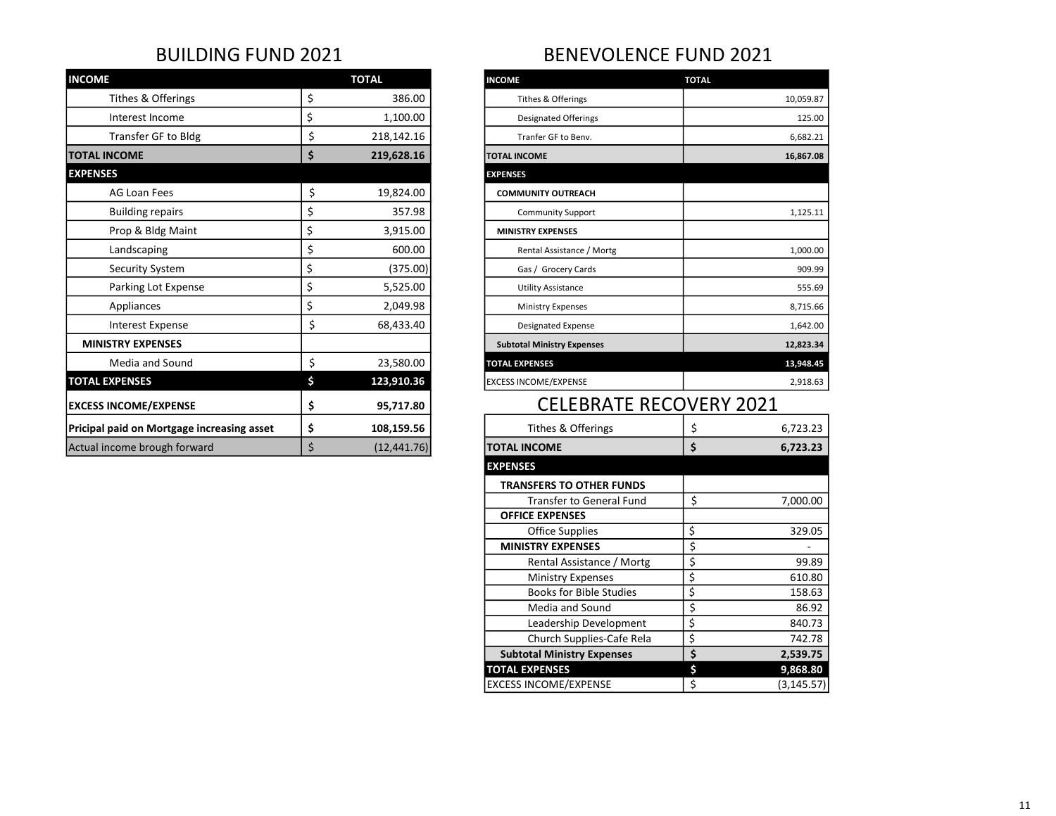| <b>INCOME</b>                              | <b>TOTAL</b>       | <b>INCOME</b>                     | <b>TOTAL</b>   |  |
|--------------------------------------------|--------------------|-----------------------------------|----------------|--|
| Tithes & Offerings                         | \$<br>386.00       | Tithes & Offerings                | 10,059.87      |  |
| Interest Income                            | \$<br>1,100.00     | <b>Designated Offerings</b>       | 125.00         |  |
| Transfer GF to Bldg                        | \$<br>218,142.16   | Tranfer GF to Benv.               | 6,682.21       |  |
| <b>TOTAL INCOME</b>                        | \$<br>219,628.16   | <b>TOTAL INCOME</b>               | 16,867.08      |  |
| <b>EXPENSES</b>                            |                    | <b>EXPENSES</b>                   |                |  |
| AG Loan Fees                               | \$<br>19,824.00    | <b>COMMUNITY OUTREACH</b>         |                |  |
| <b>Building repairs</b>                    | \$<br>357.98       | <b>Community Support</b>          | 1,125.11       |  |
| Prop & Bldg Maint                          | \$<br>3,915.00     | <b>MINISTRY EXPENSES</b>          |                |  |
| Landscaping                                | \$<br>600.00       | Rental Assistance / Mortg         | 1,000.00       |  |
| Security System                            | \$<br>(375.00)     | Gas / Grocery Cards               | 909.99         |  |
| Parking Lot Expense                        | \$<br>5,525.00     | <b>Utility Assistance</b>         | 555.69         |  |
| Appliances                                 | \$<br>2,049.98     | <b>Ministry Expenses</b>          | 8,715.66       |  |
| Interest Expense                           | \$<br>68,433.40    | <b>Designated Expense</b>         | 1,642.00       |  |
| <b>MINISTRY EXPENSES</b>                   |                    | <b>Subtotal Ministry Expenses</b> | 12,823.34      |  |
| Media and Sound                            | \$<br>23,580.00    | <b>TOTAL EXPENSES</b>             | 13,948.45      |  |
| <b>TOTAL EXPENSES</b>                      | \$<br>123,910.36   | <b>EXCESS INCOME/EXPENSE</b>      | 2,918.63       |  |
| <b>EXCESS INCOME/EXPENSE</b>               | \$<br>95,717.80    | <b>CELEBRATE RECOVERY 2021</b>    |                |  |
| Pricipal paid on Mortgage increasing asset | \$<br>108,159.56   | Tithes & Offerings                | \$<br>6,723.23 |  |
| Actual income brough forward               | \$<br>(12, 441.76) | <b>TOTAL INCOME</b>               | \$<br>6,723.23 |  |

## BUILDING FUND 2021 BENEVOLENCE FUND 2021

| <b>INCOME</b>                     | <b>TOTAL</b> |
|-----------------------------------|--------------|
| Tithes & Offerings                | 10,059.87    |
| <b>Designated Offerings</b>       | 125.00       |
| Tranfer GF to Benv.               | 6,682.21     |
| <b>TOTAL INCOME</b>               | 16,867.08    |
| <b>EXPENSES</b>                   |              |
| <b>COMMUNITY OUTREACH</b>         |              |
| <b>Community Support</b>          | 1,125.11     |
| <b>MINISTRY EXPENSES</b>          |              |
| Rental Assistance / Mortg         | 1,000.00     |
| Gas / Grocery Cards               | 909.99       |
| <b>Utility Assistance</b>         | 555.69       |
| <b>Ministry Expenses</b>          | 8,715.66     |
| <b>Designated Expense</b>         | 1,642.00     |
| <b>Subtotal Ministry Expenses</b> | 12,823.34    |
| <b>TOTAL EXPENSES</b>             | 13,948.45    |
| <b>EXCESS INCOME/EXPENSE</b>      | 2,918.63     |
|                                   |              |

## CELEBRATE RECOVERY 2021

| Tithes & Offerings                | \$ | 6,723.23    |
|-----------------------------------|----|-------------|
| <b>TOTAL INCOME</b>               | \$ | 6,723.23    |
| <b>EXPENSES</b>                   |    |             |
| <b>TRANSFERS TO OTHER FUNDS</b>   |    |             |
| <b>Transfer to General Fund</b>   | Ś  | 7,000.00    |
| <b>OFFICE EXPENSES</b>            |    |             |
| Office Supplies                   | \$ | 329.05      |
| <b>MINISTRY EXPENSES</b>          | \$ |             |
| Rental Assistance / Mortg         | \$ | 99.89       |
| <b>Ministry Expenses</b>          | \$ | 610.80      |
| <b>Books for Bible Studies</b>    | \$ | 158.63      |
| Media and Sound                   | \$ | 86.92       |
| Leadership Development            | \$ | 840.73      |
| Church Supplies-Cafe Rela         | \$ | 742.78      |
| <b>Subtotal Ministry Expenses</b> | \$ | 2,539.75    |
| <b>TOTAL EXPENSES</b>             | Ś  | 9,868.80    |
| <b>EXCESS INCOME/EXPENSE</b>      | Ś  | (3, 145.57) |
|                                   |    |             |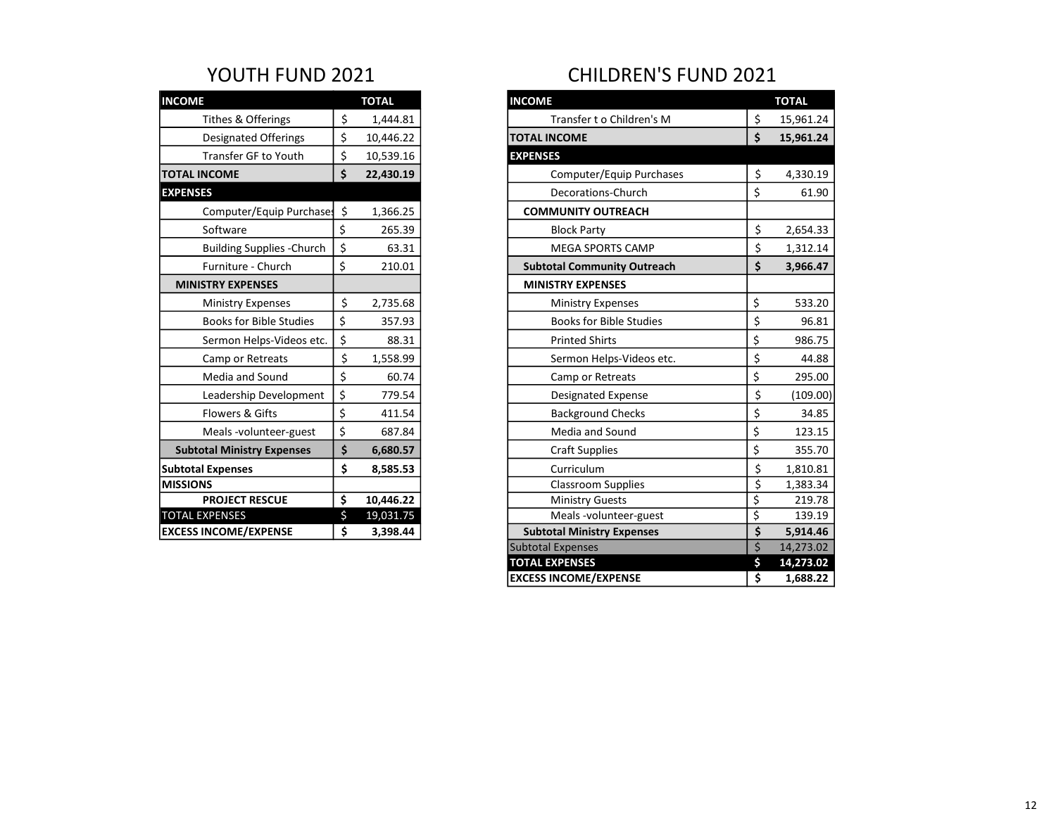| <b>INCOME</b>                     | <b>TOTAL</b>    |
|-----------------------------------|-----------------|
| Tithes & Offerings                | \$<br>1,444.81  |
| <b>Designated Offerings</b>       | \$<br>10,446.22 |
| Transfer GF to Youth              | \$<br>10,539.16 |
| <b>TOTAL INCOME</b>               | \$<br>22,430.19 |
| <b>EXPENSES</b>                   |                 |
| Computer/Equip Purchases          | \$<br>1,366.25  |
| Software                          | \$<br>265.39    |
| <b>Building Supplies - Church</b> | \$<br>63.31     |
| Furniture - Church                | \$<br>210.01    |
| <b>MINISTRY EXPENSES</b>          |                 |
|                                   |                 |
| <b>Ministry Expenses</b>          | \$<br>2,735.68  |
| <b>Books for Bible Studies</b>    | \$<br>357.93    |
| Sermon Helps-Videos etc.          | \$<br>88.31     |
| Camp or Retreats                  | \$<br>1,558.99  |
| Media and Sound                   | \$<br>60.74     |
| Leadership Development            | \$<br>779.54    |
| Flowers & Gifts                   | \$<br>411.54    |
| Meals-volunteer-guest             | \$<br>687.84    |
| <b>Subtotal Ministry Expenses</b> | \$<br>6,680.57  |
| <b>Subtotal Expenses</b>          | \$<br>8,585.53  |
| <b>MISSIONS</b>                   |                 |
| <b>PROJECT RESCUE</b>             | \$<br>10,446.22 |
| <b>TOTAL EXPENSES</b>             | \$<br>19,031.75 |
| <b>EXCESS INCOME/EXPENSE</b>      | \$<br>3,398.44  |

# YOUTH FUND 2021 CHILDREN'S FUND 2021

| <b>INCOME</b>                     | <b>TOTAL</b>    |
|-----------------------------------|-----------------|
| Tithes & Offerings                | \$<br>1,444.81  |
| <b>Designated Offerings</b>       | \$<br>10,446.22 |
| <b>Transfer GF to Youth</b>       | \$<br>10,539.16 |
| <b>TOTAL INCOME</b>               | \$<br>22,430.19 |
| <b>EXPENSES</b>                   |                 |
| Computer/Equip Purchases          | \$<br>1,366.25  |
| Software                          | \$<br>265.39    |
| <b>Building Supplies -Church</b>  | \$<br>63.31     |
| Furniture - Church                | \$<br>210.01    |
| <b>MINISTRY EXPENSES</b>          |                 |
| <b>Ministry Expenses</b>          | \$<br>2,735.68  |
| <b>Books for Bible Studies</b>    | \$<br>357.93    |
| Sermon Helps-Videos etc.          | \$<br>88.31     |
| Camp or Retreats                  | \$<br>1,558.99  |
| Media and Sound                   | \$<br>60.74     |
| Leadership Development            | \$<br>779.54    |
| Flowers & Gifts                   | \$<br>411.54    |
| Meals -volunteer-guest            | \$<br>687.84    |
| <b>Subtotal Ministry Expenses</b> | \$<br>6,680.57  |
| <b>Subtotal Expenses</b>          | \$<br>8,585.53  |
| <b>MISSIONS</b>                   |                 |
| <b>PROJECT RESCUE</b>             | \$<br>10,446.22 |
| <b>TOTAL EXPENSES</b>             | \$<br>19,031.75 |
| <b>EXCESS INCOME/EXPENSE</b>      | \$<br>3,398.44  |
|                                   |                 |
|                                   |                 |
|                                   |                 |